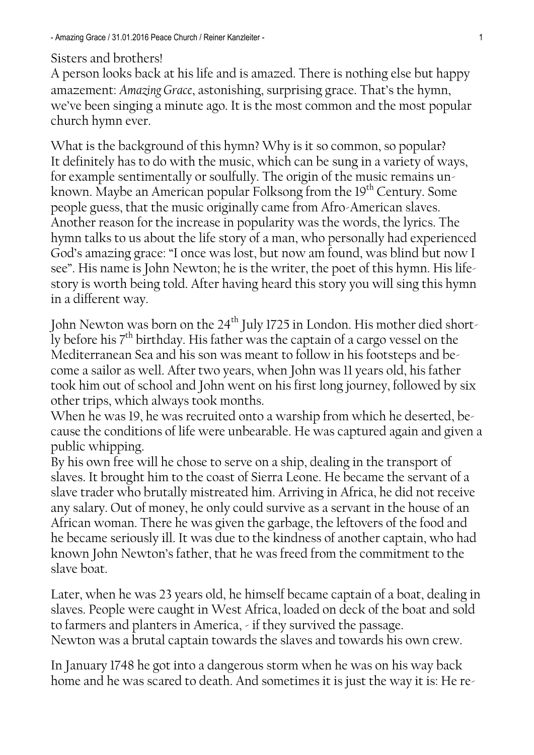## Sisters and brothers!

[A](http://de.pons.com/%C3%BCbersetzung/englisch-deutsch/A) [person](http://de.pons.com/%C3%BCbersetzung/englisch-deutsch/person) [looks](http://de.pons.com/%C3%BCbersetzung/englisch-deutsch/looks) [back](http://de.pons.com/%C3%BCbersetzung/englisch-deutsch/ack) [at](http://de.pons.com/%C3%BCbersetzung/englisch-deutsch/at) [his](http://de.pons.com/%C3%BCbersetzung/englisch-deutsch/his) [life](http://de.pons.com/%C3%BCbersetzung/englisch-deutsch/life) [and](http://de.pons.com/%C3%BCbersetzung/englisch-deutsch/and) [is](http://de.pons.com/%C3%BCbersetzung/englisch-deutsch/is) [amazed.](http://de.pons.com/%C3%BCbersetzung/englisch-deutsch/amazed) There is nothing else but happy amazement: *Amazing Grace*, astonishing, surprising grace. That"s the hymn, we"ve been singing a minute ago. It is the most common and the most popular church hymn ever.

What is the background of this hymn? Why is it so common, so popular? It definitely has to do with the music, which can be sung in a variety of ways, for example sentimentally or soulfully. The origin of the music remains unknown. Maybe an American popular Folksong from the 19<sup>th</sup> Century. Some people guess, that the music originally came from Afro-American slaves. Another reason for the increase in popularity was the words, the lyrics. The hymn talks to us about the life story of a man, who personally had experienced God"s amazing grace: "I once was lost, but now am found, was blind but now I see". His name is John Newton; he is the writer, the poet of this hymn. His lifestory is worth being told. After having heard this story you will sing this hymn in a different way.

John Newton was born on the 24<sup>th</sup> July 1725 in London. His mother died shortly before his  $7<sup>th</sup>$  birthday. His father was the captain of a cargo vessel on the Mediterranean Sea and his son was meant to follow in his footsteps and become a sailor as well. After two years, when John was 11 years old, his father took him out of school and John went on his first long journey, followed by six other trips, which always took months.

When he was 19, he was recruited onto a warship from which he deserted, because the conditions of life were unbearable. He was captured again and given a public whipping.

By his own free will he chose to serve on a ship, dealing in the transport of slaves. It brought him to the coast of Sierra Leone. He became the servant of a slave trader who brutally mistreated him. Arriving in Africa, he did not receive any salary. Out of money, he only could survive as a servant in the house of an African woman. There he was given the garbage, the leftovers of the food and he became seriously ill. It was due to the kindness of another captain, who had known John Newton"s father, that he was freed from the commitment to the slave boat.

Later, when he was 23 years old, he himself became captain of a boat, dealing in slaves. People were caught in West Africa, loaded on deck of the boat and sold to farmers and planters in America, - if they survived the passage. Newton was a brutal captain towards the slaves and towards his own crew.

In January 1748 he got into a dangerous storm when he was on his way back home and he was scared to death. And sometimes it is just the way it is: He re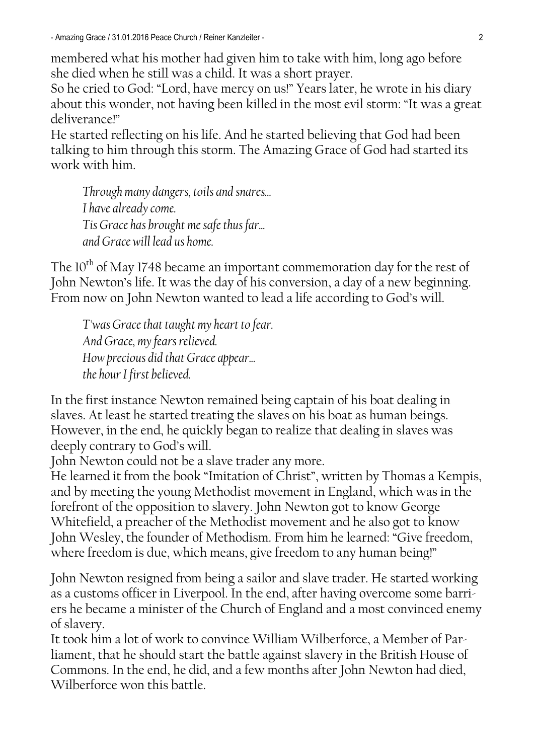- Amazing Grace / 31.01.2016 Peace Church / Reiner Kanzleiter - 2

membered what his mother had given him to take with him, long ago before she died when he still was a child. It was a short prayer.

So he cried to God: "Lord, have mercy on us!" Years later, he wrote in his diary about this wonder, not having been killed in the most evil storm: "It was a great deliverance!"

He started reflecting on his life. And he started believing that God had been talking to him through this storm. The Amazing Grace of God had started its work with him.

*Through many dangers, toils and snares... I have already come. Tis Grace has brought me safethus far... and Grace will lead us home.*

The  $10^{th}$  of May 1748 became an important commemoration day for the rest of John Newton"s life. It was the day of his conversion, a day of a new beginning. From now on John Newton wanted to lead a life according to God"s will.

*T'was Grace that taught my heart to fear. And Grace, my fears relieved. How precious did that Grace appear... the hour I first believed.*

In the first instance Newton remained being captain of his boat dealing in slaves. At least he started treating the slaves on his boat as human beings. However, in the end, he quickly began to realize that dealing in slaves was deeply contrary to God's will.

John Newton could not be a slave trader any more.

He learned it from the book "Imitation of Christ", written by Thomas a Kempis, and by meeting the young Methodist movement in England, which was in the forefront of the opposition to slavery. John Newton got to know George Whitefield, a preacher of the Methodist movement and he also got to know John Wesley, the founder of Methodism. From him he learned: "Give freedom, where freedom is due, which means, give freedom to any human being!"

John Newton resigned from being a sailor and slave trader. He started working as a customs officer in Liverpool. In the end, after having overcome some barriers he became a minister of the Church of England and a most convinced enemy of slavery.

It took him a lot of work to convince William Wilberforce, a Member of Parliament, that he should start the battle against slavery in the British House of Commons. In the end, he did, and a few months after John Newton had died, Wilberforce won this battle.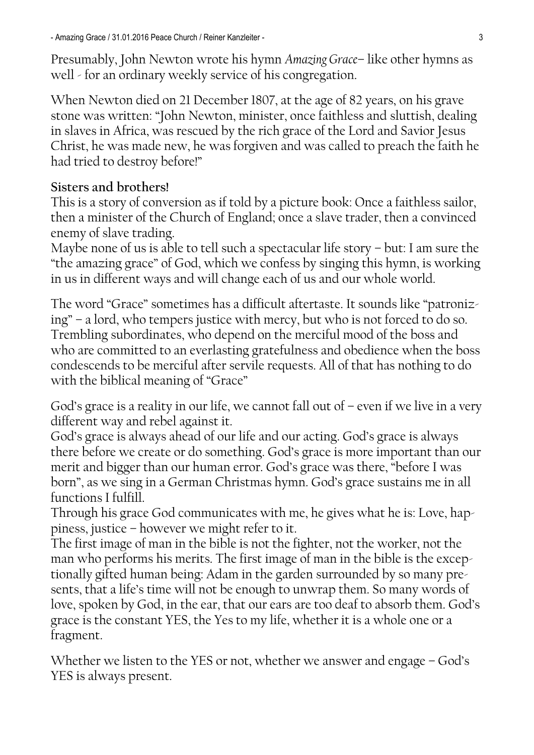Presumably, John Newton wrote his hymn *Amazing Grace*– like other hymns as well - for an ordinary weekly service of his congregation.

When Newton died on 21 December 1807, at the age of 82 years, on his grave stone was written: "John Newton, minister, once faithless and sluttish, dealing in slaves in Africa, was rescued by the rich grace of the Lord and Savior Jesus Christ, he was made new, he was forgiven and was called to preach the faith he had tried to destroy before!"

## **Sisters and brothers!**

This is a story of conversion as if told by a picture book: Once a faithless sailor, then a minister of the Church of England; once a slave trader, then a convinced enemy of slave trading.

Maybe none of us is able to tell such a spectacular life story – but: I am sure the "the amazing grace" of God, which we confess by singing this hymn, is working in us in different ways and will change each of us and our whole world.

The word "Grace" sometimes has a difficult aftertaste. It sounds like "patronizing" – a lord, who tempers justice with mercy, but who is not forced to do so. Trembling subordinates, who depend on the merciful mood of the boss and who are committed to an everlasting gratefulness and obedience when the boss condescends to be merciful after servile requests. All of that has nothing to do with the biblical meaning of "Grace"

God's grace is a reality in our life, we cannot fall out of  $-$  even if we live in a very different way and rebel against it.

God"s grace is always ahead of our life and our acting. God"s grace is always there before we create or do something. God"s grace is more important than our merit and bigger than our human error. God"s grace was there, "before I was born", as we sing in a German Christmas hymn. God"s grace sustains me in all functions I fulfill.

Through his grace God communicates with me, he gives what he is: Love, happiness, justice – however we might refer to it.

The first image of man in the bible is not the fighter, not the worker, not the man who performs his merits. The first image of man in the bible is the exceptionally gifted human being: Adam in the garden surrounded by so many presents, that a life's time will not be enough to unwrap them. So many words of love, spoken by God, in the ear, that our ears are too deaf to absorb them. God"s grace is the constant YES, the Yes to my life, whether it is a whole one or a fragment.

Whether we listen to the YES or not, whether we answer and engage – God's YES is always present.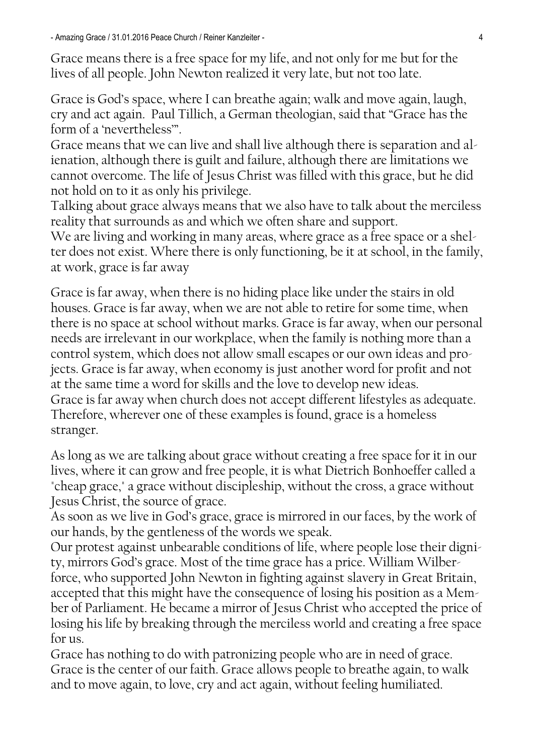- Amazing Grace / 31.01.2016 Peace Church / Reiner Kanzleiter - 4

Grace means there is a free space for my life, and not only for me but for the lives of all people. John Newton realized it very late, but not too late.

Grace is God"s space, where I can breathe again; walk and move again, laugh, cry and act again. Paul Tillich, a German theologian, said that "Grace has the form of a "nevertheless"".

Grace means that we can live and shall live although there is separation and alienation, although there is guilt and failure, although there are limitations we cannot overcome. The life of Jesus Christ was filled with this grace, but he did not hold on to it as only his privilege.

Talking about grace always means that we also have to talk about the merciless reality that surrounds as and which we often share and support.

We are living and working in many areas, where grace as a free space or a shelter does not exist. Where there is only functioning, be it at school, in the family, at work, grace is far away

Grace is far away, when there is no hiding place like under the stairs in old houses. Grace is far away, when we are not able to retire for some time, when there is no space at school without marks. Grace is far away, when our personal needs are irrelevant in our workplace, when the family is nothing more than a control system, which does not allow small escapes or our own ideas and projects. Grace is far away, when economy is just another word for profit and not at the same time a word for skills and the love to develop new ideas. Grace is far away when church does not accept different lifestyles as adequate. Therefore, wherever one of these examples is found, grace is a homeless stranger.

As long as we are talking about grace without creating a free space for it in our lives, where it can grow and free people, it is what Dietrich Bonhoeffer called a "cheap grace," a grace without discipleship, without the cross, a grace without Jesus Christ, the source of grace.

As soon as we live in God"s grace, grace is mirrored in our faces, by the work of our hands, by the gentleness of the words we speak.

Our protest against unbearable conditions of life, where people lose their dignity, mirrors God"s grace. Most of the time grace has a price. William Wilber-

force, who supported John Newton in fighting against slavery in Great Britain, accepted that this might have the consequence of losing his position as a Member of Parliament. He became a mirror of Jesus Christ who accepted the price of losing his life by breaking through the merciless world and creating a free space for us.

Grace has nothing to do with patronizing people who are in need of grace. Grace is the center of our faith. Grace allows people to breathe again, to walk and to move again, to love, cry and act again, without feeling humiliated.